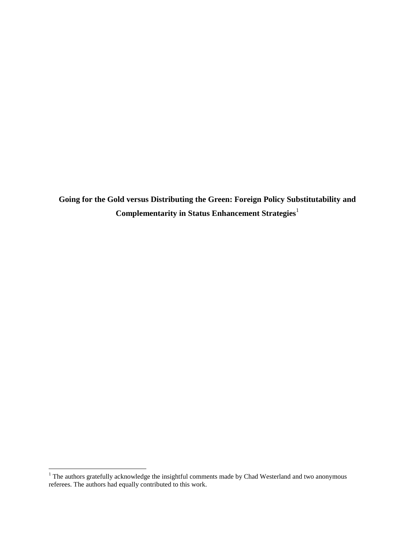**Going for the Gold versus Distributing the Green: Foreign Policy Substitutability and Complementarity in Status Enhancement Strategies<sup>1</sup>** 

 $1$  The authors gratefully acknowledge the insightful comments made by Chad Westerland and two anonymous referees. The authors had equally contributed to this work.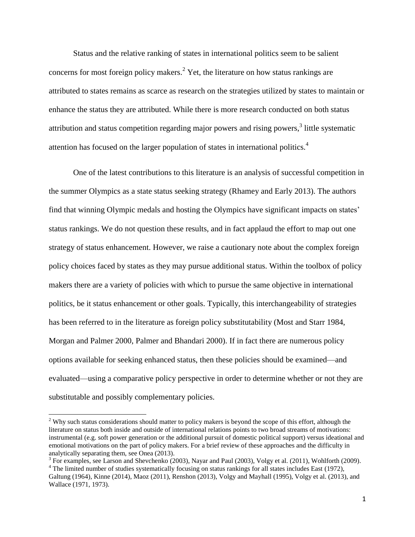Status and the relative ranking of states in international politics seem to be salient concerns for most foreign policy makers.<sup>2</sup> Yet, the literature on how status rankings are attributed to states remains as scarce as research on the strategies utilized by states to maintain or enhance the status they are attributed. While there is more research conducted on both status attribution and status competition regarding major powers and rising powers,<sup>3</sup> little systematic attention has focused on the larger population of states in international politics.<sup>4</sup>

One of the latest contributions to this literature is an analysis of successful competition in the summer Olympics as a state status seeking strategy (Rhamey and Early 2013). The authors find that winning Olympic medals and hosting the Olympics have significant impacts on states' status rankings. We do not question these results, and in fact applaud the effort to map out one strategy of status enhancement. However, we raise a cautionary note about the complex foreign policy choices faced by states as they may pursue additional status. Within the toolbox of policy makers there are a variety of policies with which to pursue the same objective in international politics, be it status enhancement or other goals. Typically, this interchangeability of strategies has been referred to in the literature as foreign policy substitutability (Most and Starr 1984, Morgan and Palmer 2000, Palmer and Bhandari 2000). If in fact there are numerous policy options available for seeking enhanced status, then these policies should be examined—and evaluated—using a comparative policy perspective in order to determine whether or not they are substitutable and possibly complementary policies.

 $2$  Why such status considerations should matter to policy makers is beyond the scope of this effort, although the literature on status both inside and outside of international relations points to two broad streams of motivations: instrumental (e.g. soft power generation or the additional pursuit of domestic political support) versus ideational and emotional motivations on the part of policy makers. For a brief review of these approaches and the difficulty in analytically separating them, see Onea (2013).

<sup>&</sup>lt;sup>3</sup> For examples, see Larson and Shevchenko (2003), Nayar and Paul (2003), Volgy et al. (2011), Wohlforth (2009).

<sup>&</sup>lt;sup>4</sup> The limited number of studies systematically focusing on status rankings for all states includes East (1972), Galtung (1964), Kinne (2014), Maoz (2011), Renshon (2013), Volgy and Mayhall (1995), Volgy et al. (2013), and Wallace (1971, 1973).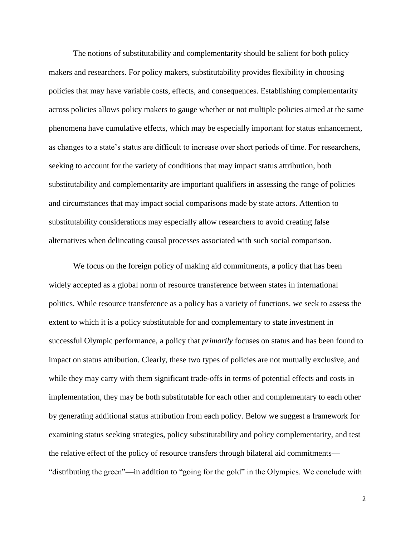The notions of substitutability and complementarity should be salient for both policy makers and researchers. For policy makers, substitutability provides flexibility in choosing policies that may have variable costs, effects, and consequences. Establishing complementarity across policies allows policy makers to gauge whether or not multiple policies aimed at the same phenomena have cumulative effects, which may be especially important for status enhancement, as changes to a state's status are difficult to increase over short periods of time. For researchers, seeking to account for the variety of conditions that may impact status attribution, both substitutability and complementarity are important qualifiers in assessing the range of policies and circumstances that may impact social comparisons made by state actors. Attention to substitutability considerations may especially allow researchers to avoid creating false alternatives when delineating causal processes associated with such social comparison.

We focus on the foreign policy of making aid commitments, a policy that has been widely accepted as a global norm of resource transference between states in international politics. While resource transference as a policy has a variety of functions, we seek to assess the extent to which it is a policy substitutable for and complementary to state investment in successful Olympic performance, a policy that *primarily* focuses on status and has been found to impact on status attribution. Clearly, these two types of policies are not mutually exclusive, and while they may carry with them significant trade-offs in terms of potential effects and costs in implementation, they may be both substitutable for each other and complementary to each other by generating additional status attribution from each policy. Below we suggest a framework for examining status seeking strategies, policy substitutability and policy complementarity, and test the relative effect of the policy of resource transfers through bilateral aid commitments— "distributing the green"—in addition to "going for the gold" in the Olympics. We conclude with

2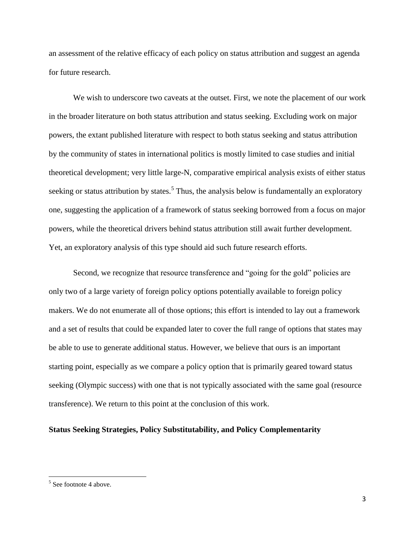an assessment of the relative efficacy of each policy on status attribution and suggest an agenda for future research.

We wish to underscore two caveats at the outset. First, we note the placement of our work in the broader literature on both status attribution and status seeking. Excluding work on major powers, the extant published literature with respect to both status seeking and status attribution by the community of states in international politics is mostly limited to case studies and initial theoretical development; very little large-N, comparative empirical analysis exists of either status seeking or status attribution by states.<sup>5</sup> Thus, the analysis below is fundamentally an exploratory one, suggesting the application of a framework of status seeking borrowed from a focus on major powers, while the theoretical drivers behind status attribution still await further development. Yet, an exploratory analysis of this type should aid such future research efforts.

Second, we recognize that resource transference and "going for the gold" policies are only two of a large variety of foreign policy options potentially available to foreign policy makers. We do not enumerate all of those options; this effort is intended to lay out a framework and a set of results that could be expanded later to cover the full range of options that states may be able to use to generate additional status. However, we believe that ours is an important starting point, especially as we compare a policy option that is primarily geared toward status seeking (Olympic success) with one that is not typically associated with the same goal (resource transference). We return to this point at the conclusion of this work.

#### **Status Seeking Strategies, Policy Substitutability, and Policy Complementarity**

<sup>&</sup>lt;sup>5</sup> See footnote 4 above.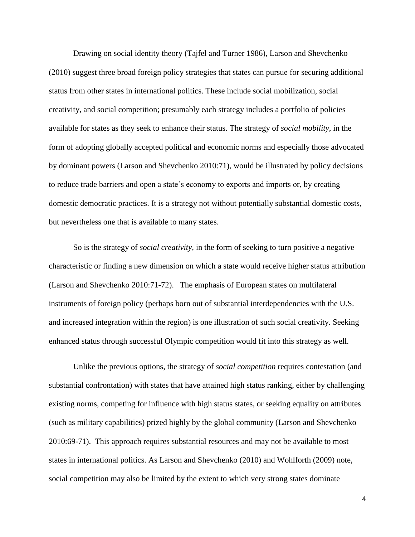Drawing on social identity theory (Tajfel and Turner 1986), Larson and Shevchenko (2010) suggest three broad foreign policy strategies that states can pursue for securing additional status from other states in international politics. These include social mobilization, social creativity, and social competition; presumably each strategy includes a portfolio of policies available for states as they seek to enhance their status. The strategy of *social mobility*, in the form of adopting globally accepted political and economic norms and especially those advocated by dominant powers (Larson and Shevchenko 2010:71), would be illustrated by policy decisions to reduce trade barriers and open a state's economy to exports and imports or, by creating domestic democratic practices. It is a strategy not without potentially substantial domestic costs, but nevertheless one that is available to many states.

So is the strategy of *social creativity*, in the form of seeking to turn positive a negative characteristic or finding a new dimension on which a state would receive higher status attribution (Larson and Shevchenko 2010:71-72). The emphasis of European states on multilateral instruments of foreign policy (perhaps born out of substantial interdependencies with the U.S. and increased integration within the region) is one illustration of such social creativity. Seeking enhanced status through successful Olympic competition would fit into this strategy as well.

Unlike the previous options, the strategy of *social competition* requires contestation (and substantial confrontation) with states that have attained high status ranking, either by challenging existing norms, competing for influence with high status states, or seeking equality on attributes (such as military capabilities) prized highly by the global community (Larson and Shevchenko 2010:69-71). This approach requires substantial resources and may not be available to most states in international politics. As Larson and Shevchenko (2010) and Wohlforth (2009) note, social competition may also be limited by the extent to which very strong states dominate

4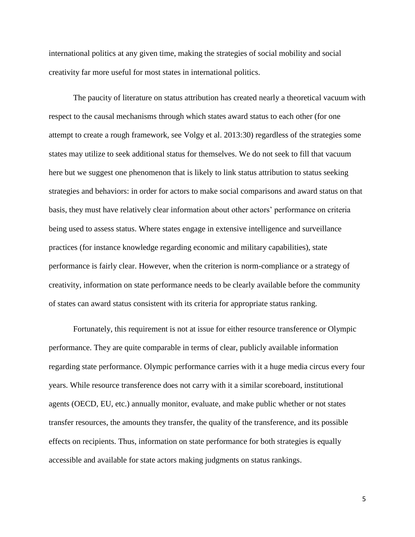international politics at any given time, making the strategies of social mobility and social creativity far more useful for most states in international politics.

The paucity of literature on status attribution has created nearly a theoretical vacuum with respect to the causal mechanisms through which states award status to each other (for one attempt to create a rough framework, see Volgy et al. 2013:30) regardless of the strategies some states may utilize to seek additional status for themselves. We do not seek to fill that vacuum here but we suggest one phenomenon that is likely to link status attribution to status seeking strategies and behaviors: in order for actors to make social comparisons and award status on that basis, they must have relatively clear information about other actors' performance on criteria being used to assess status. Where states engage in extensive intelligence and surveillance practices (for instance knowledge regarding economic and military capabilities), state performance is fairly clear. However, when the criterion is norm-compliance or a strategy of creativity, information on state performance needs to be clearly available before the community of states can award status consistent with its criteria for appropriate status ranking.

Fortunately, this requirement is not at issue for either resource transference or Olympic performance. They are quite comparable in terms of clear, publicly available information regarding state performance. Olympic performance carries with it a huge media circus every four years. While resource transference does not carry with it a similar scoreboard, institutional agents (OECD, EU, etc.) annually monitor, evaluate, and make public whether or not states transfer resources, the amounts they transfer, the quality of the transference, and its possible effects on recipients. Thus, information on state performance for both strategies is equally accessible and available for state actors making judgments on status rankings.

5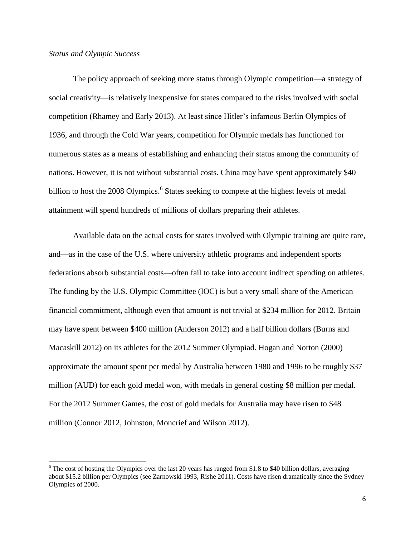#### *Status and Olympic Success*

 $\overline{\phantom{a}}$ 

The policy approach of seeking more status through Olympic competition—a strategy of social creativity—is relatively inexpensive for states compared to the risks involved with social competition (Rhamey and Early 2013). At least since Hitler's infamous Berlin Olympics of 1936, and through the Cold War years, competition for Olympic medals has functioned for numerous states as a means of establishing and enhancing their status among the community of nations. However, it is not without substantial costs. China may have spent approximately \$40 billion to host the 2008 Olympics.<sup>6</sup> States seeking to compete at the highest levels of medal attainment will spend hundreds of millions of dollars preparing their athletes.

Available data on the actual costs for states involved with Olympic training are quite rare, and—as in the case of the U.S. where university athletic programs and independent sports federations absorb substantial costs—often fail to take into account indirect spending on athletes. The funding by the U.S. Olympic Committee (IOC) is but a very small share of the American financial commitment, although even that amount is not trivial at \$234 million for 2012. Britain may have spent between \$400 million (Anderson 2012) and a half billion dollars (Burns and Macaskill 2012) on its athletes for the 2012 Summer Olympiad. Hogan and Norton (2000) approximate the amount spent per medal by Australia between 1980 and 1996 to be roughly \$37 million (AUD) for each gold medal won, with medals in general costing \$8 million per medal. For the 2012 Summer Games, the cost of gold medals for Australia may have risen to \$48 million (Connor 2012, Johnston, Moncrief and Wilson 2012).

 $6$  The cost of hosting the Olympics over the last 20 years has ranged from \$1.8 to \$40 billion dollars, averaging about \$15.2 billion per Olympics (see Zarnowski 1993, Rishe 2011). Costs have risen dramatically since the Sydney Olympics of 2000.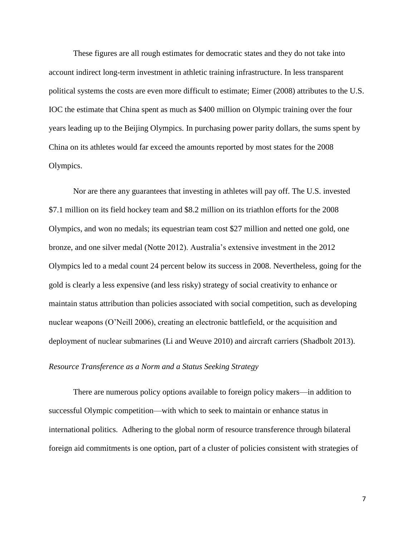These figures are all rough estimates for democratic states and they do not take into account indirect long-term investment in athletic training infrastructure. In less transparent political systems the costs are even more difficult to estimate; Eimer (2008) attributes to the U.S. IOC the estimate that China spent as much as \$400 million on Olympic training over the four years leading up to the Beijing Olympics. In purchasing power parity dollars, the sums spent by China on its athletes would far exceed the amounts reported by most states for the 2008 Olympics.

Nor are there any guarantees that investing in athletes will pay off. The U.S. invested \$7.1 million on its field hockey team and \$8.2 million on its triathlon efforts for the 2008 Olympics, and won no medals; its equestrian team cost \$27 million and netted one gold, one bronze, and one silver medal (Notte 2012). Australia's extensive investment in the 2012 Olympics led to a medal count 24 percent below its success in 2008. Nevertheless, going for the gold is clearly a less expensive (and less risky) strategy of social creativity to enhance or maintain status attribution than policies associated with social competition, such as developing nuclear weapons (O'Neill 2006), creating an electronic battlefield, or the acquisition and deployment of nuclear submarines (Li and Weuve 2010) and aircraft carriers (Shadbolt 2013).

#### *Resource Transference as a Norm and a Status Seeking Strategy*

There are numerous policy options available to foreign policy makers—in addition to successful Olympic competition—with which to seek to maintain or enhance status in international politics. Adhering to the global norm of resource transference through bilateral foreign aid commitments is one option, part of a cluster of policies consistent with strategies of

7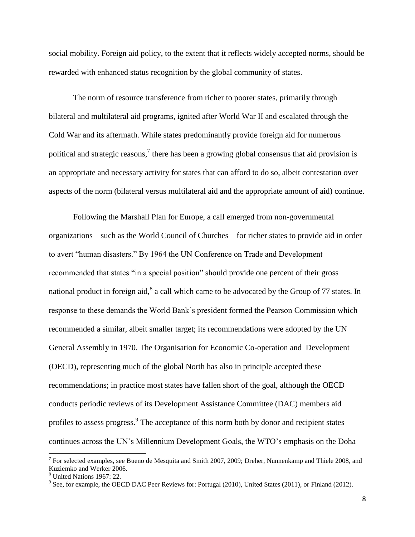social mobility. Foreign aid policy, to the extent that it reflects widely accepted norms, should be rewarded with enhanced status recognition by the global community of states.

The norm of resource transference from richer to poorer states, primarily through bilateral and multilateral aid programs, ignited after World War II and escalated through the Cold War and its aftermath. While states predominantly provide foreign aid for numerous political and strategic reasons,<sup>7</sup> there has been a growing global consensus that aid provision is an appropriate and necessary activity for states that can afford to do so, albeit contestation over aspects of the norm (bilateral versus multilateral aid and the appropriate amount of aid) continue.

Following the Marshall Plan for Europe, a call emerged from non-governmental organizations—such as the World Council of Churches—for richer states to provide aid in order to avert "human disasters." By 1964 the UN Conference on Trade and Development recommended that states "in a special position" should provide one percent of their gross national product in foreign aid,<sup>8</sup> a call which came to be advocated by the Group of 77 states. In response to these demands the World Bank's president formed the Pearson Commission which recommended a similar, albeit smaller target; its recommendations were adopted by the UN General Assembly in 1970. The Organisation for Economic Co-operation and Development (OECD), representing much of the global North has also in principle accepted these recommendations; in practice most states have fallen short of the goal, although the OECD conducts periodic reviews of its Development Assistance Committee (DAC) members aid profiles to assess progress.<sup>9</sup> The acceptance of this norm both by donor and recipient states continues across the UN's Millennium Development Goals, the WTO's emphasis on the Doha

<sup>&</sup>lt;sup>7</sup> For selected examples, see Bueno de Mesquita and Smith 2007, 2009; Dreher, Nunnenkamp and Thiele 2008, and Kuziemko and Werker 2006.

<sup>8</sup> United Nations 1967: 22.

 $9^9$  See, for example, the OECD DAC Peer Reviews for: Portugal (2010), United States (2011), or Finland (2012).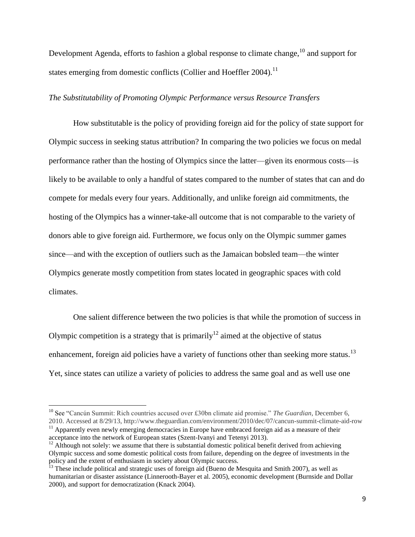Development Agenda, efforts to fashion a global response to climate change,  $^{10}$  and support for states emerging from domestic conflicts (Collier and Hoeffler 2004).<sup>11</sup>

### *The Substitutability of Promoting Olympic Performance versus Resource Transfers*

How substitutable is the policy of providing foreign aid for the policy of state support for Olympic success in seeking status attribution? In comparing the two policies we focus on medal performance rather than the hosting of Olympics since the latter—given its enormous costs—is likely to be available to only a handful of states compared to the number of states that can and do compete for medals every four years. Additionally, and unlike foreign aid commitments, the hosting of the Olympics has a winner-take-all outcome that is not comparable to the variety of donors able to give foreign aid. Furthermore, we focus only on the Olympic summer games since—and with the exception of outliers such as the Jamaican bobsled team—the winter Olympics generate mostly competition from states located in geographic spaces with cold climates.

One salient difference between the two policies is that while the promotion of success in Olympic competition is a strategy that is primarily<sup>12</sup> aimed at the objective of status enhancement, foreign aid policies have a variety of functions other than seeking more status.<sup>13</sup> Yet, since states can utilize a variety of policies to address the same goal and as well use one

<sup>10</sup> See "Cancún Summit: Rich countries accused over £30bn climate aid promise." *The Guardian*, December 6, 2010. Accessed at 8/29/13, http://www.theguardian.com/environment/2010/dec/07/cancun-summit-climate-aid-row

 $11$  Apparently even newly emerging democracies in Europe have embraced foreign aid as a measure of their acceptance into the network of European states (Szent-Ivanyi and Tetenyi 2013).

 $12$  Although not solely: we assume that there is substantial domestic political benefit derived from achieving Olympic success and some domestic political costs from failure, depending on the degree of investments in the policy and the extent of enthusiasm in society about Olympic success.

<sup>&</sup>lt;sup>13</sup> These include political and strategic uses of foreign aid (Bueno de Mesquita and Smith 2007), as well as humanitarian or disaster assistance (Linnerooth-Bayer et al. 2005), economic development (Burnside and Dollar 2000), and support for democratization (Knack 2004).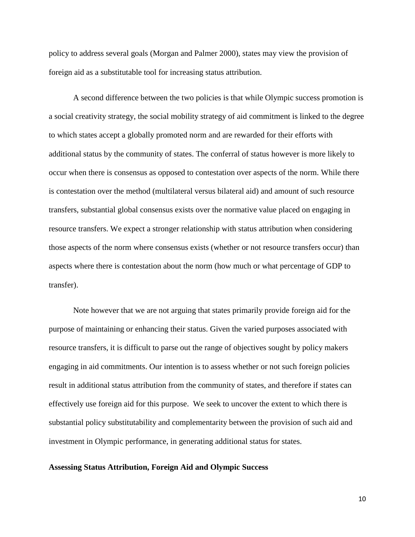policy to address several goals (Morgan and Palmer 2000), states may view the provision of foreign aid as a substitutable tool for increasing status attribution.

A second difference between the two policies is that while Olympic success promotion is a social creativity strategy, the social mobility strategy of aid commitment is linked to the degree to which states accept a globally promoted norm and are rewarded for their efforts with additional status by the community of states. The conferral of status however is more likely to occur when there is consensus as opposed to contestation over aspects of the norm. While there is contestation over the method (multilateral versus bilateral aid) and amount of such resource transfers, substantial global consensus exists over the normative value placed on engaging in resource transfers. We expect a stronger relationship with status attribution when considering those aspects of the norm where consensus exists (whether or not resource transfers occur) than aspects where there is contestation about the norm (how much or what percentage of GDP to transfer).

Note however that we are not arguing that states primarily provide foreign aid for the purpose of maintaining or enhancing their status. Given the varied purposes associated with resource transfers, it is difficult to parse out the range of objectives sought by policy makers engaging in aid commitments. Our intention is to assess whether or not such foreign policies result in additional status attribution from the community of states, and therefore if states can effectively use foreign aid for this purpose. We seek to uncover the extent to which there is substantial policy substitutability and complementarity between the provision of such aid and investment in Olympic performance, in generating additional status for states.

#### **Assessing Status Attribution, Foreign Aid and Olympic Success**

10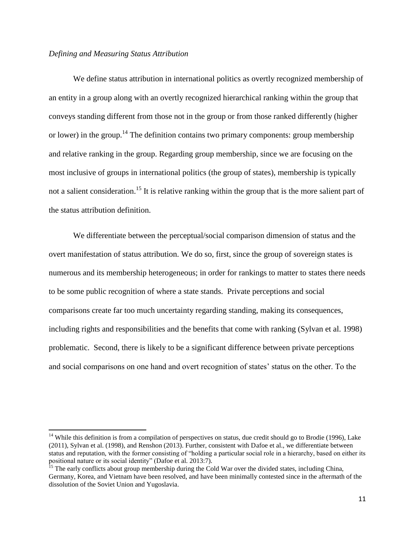#### *Defining and Measuring Status Attribution*

 $\overline{\phantom{a}}$ 

We define status attribution in international politics as overtly recognized membership of an entity in a group along with an overtly recognized hierarchical ranking within the group that conveys standing different from those not in the group or from those ranked differently (higher or lower) in the group.<sup>14</sup> The definition contains two primary components: group membership and relative ranking in the group. Regarding group membership, since we are focusing on the most inclusive of groups in international politics (the group of states), membership is typically not a salient consideration.<sup>15</sup> It is relative ranking within the group that is the more salient part of the status attribution definition.

We differentiate between the perceptual/social comparison dimension of status and the overt manifestation of status attribution. We do so, first, since the group of sovereign states is numerous and its membership heterogeneous; in order for rankings to matter to states there needs to be some public recognition of where a state stands. Private perceptions and social comparisons create far too much uncertainty regarding standing, making its consequences, including rights and responsibilities and the benefits that come with ranking (Sylvan et al. 1998) problematic. Second, there is likely to be a significant difference between private perceptions and social comparisons on one hand and overt recognition of states' status on the other. To the

 $14$  While this definition is from a compilation of perspectives on status, due credit should go to Brodie (1996), Lake (2011), Sylvan et al. (1998), and Renshon (2013). Further, consistent with Dafoe et al., we differentiate between status and reputation, with the former consisting of "holding a particular social role in a hierarchy, based on either its positional nature or its social identity" (Dafoe et al. 2013:7).

<sup>&</sup>lt;sup>15</sup> The early conflicts about group membership during the Cold War over the divided states, including China, Germany, Korea, and Vietnam have been resolved, and have been minimally contested since in the aftermath of the dissolution of the Soviet Union and Yugoslavia.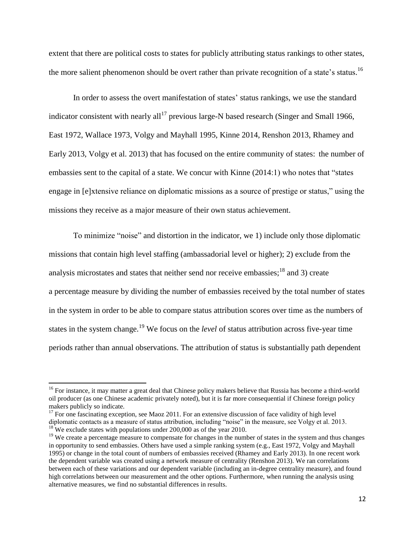extent that there are political costs to states for publicly attributing status rankings to other states, the more salient phenomenon should be overt rather than private recognition of a state's status.<sup>16</sup>

In order to assess the overt manifestation of states' status rankings, we use the standard indicator consistent with nearly all<sup>17</sup> previous large-N based research (Singer and Small 1966, East 1972, Wallace 1973, Volgy and Mayhall 1995, Kinne 2014, Renshon 2013, Rhamey and Early 2013, Volgy et al. 2013) that has focused on the entire community of states: the number of embassies sent to the capital of a state. We concur with Kinne (2014:1) who notes that "states engage in [e]xtensive reliance on diplomatic missions as a source of prestige or status," using the missions they receive as a major measure of their own status achievement.

To minimize "noise" and distortion in the indicator, we 1) include only those diplomatic missions that contain high level staffing (ambassadorial level or higher); 2) exclude from the analysis microstates and states that neither send nor receive embassies;  $18$  and 3) create a percentage measure by dividing the number of embassies received by the total number of states in the system in order to be able to compare status attribution scores over time as the numbers of states in the system change.<sup>19</sup> We focus on the *level* of status attribution across five-year time periods rather than annual observations. The attribution of status is substantially path dependent

<sup>&</sup>lt;sup>16</sup> For instance, it may matter a great deal that Chinese policy makers believe that Russia has become a third-world oil producer (as one Chinese academic privately noted), but it is far more consequential if Chinese foreign policy makers publicly so indicate.

 $17$  For one fascinating exception, see Maoz 2011. For an extensive discussion of face validity of high level diplomatic contacts as a measure of status attribution, including "noise" in the measure, see Volgy et al. 2013.  $18^{\circ}$  We exclude states with populations under 200,000 as of the year 2010.

<sup>&</sup>lt;sup>19</sup> We create a percentage measure to compensate for changes in the number of states in the system and thus changes in opportunity to send embassies. Others have used a simple ranking system (e.g., East 1972, Volgy and Mayhall 1995) or change in the total count of numbers of embassies received (Rhamey and Early 2013). In one recent work the dependent variable was created using a network measure of centrality (Renshon 2013). We ran correlations between each of these variations and our dependent variable (including an in-degree centrality measure), and found high correlations between our measurement and the other options. Furthermore, when running the analysis using alternative measures, we find no substantial differences in results.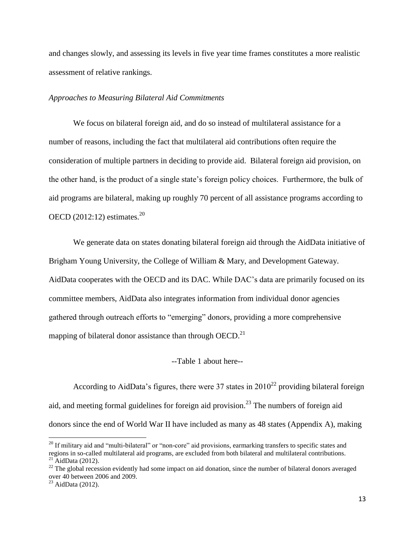and changes slowly, and assessing its levels in five year time frames constitutes a more realistic assessment of relative rankings.

#### *Approaches to Measuring Bilateral Aid Commitments*

We focus on bilateral foreign aid, and do so instead of multilateral assistance for a number of reasons, including the fact that multilateral aid contributions often require the consideration of multiple partners in deciding to provide aid. Bilateral foreign aid provision, on the other hand, is the product of a single state's foreign policy choices. Furthermore, the bulk of aid programs are bilateral, making up roughly 70 percent of all assistance programs according to OECD  $(2012:12)$  estimates.<sup>20</sup>

We generate data on states donating bilateral foreign aid through the AidData initiative of Brigham Young University, the College of William & Mary, and Development Gateway. AidData cooperates with the OECD and its DAC. While DAC's data are primarily focused on its committee members, AidData also integrates information from individual donor agencies gathered through outreach efforts to "emerging" donors, providing a more comprehensive mapping of bilateral donor assistance than through  $OECD$ <sup>21</sup>

#### --Table 1 about here--

According to AidData's figures, there were 37 states in  $2010^{22}$  providing bilateral foreign aid, and meeting formal guidelines for foreign aid provision.<sup>23</sup> The numbers of foreign aid donors since the end of World War II have included as many as 48 states (Appendix A), making

l

<sup>&</sup>lt;sup>20</sup> If military aid and "multi-bilateral" or "non-core" aid provisions, earmarking transfers to specific states and regions in so-called multilateral aid programs, are excluded from both bilateral and multilateral contributions.  $^{21}$  AidData (2012).

 $22$  The global recession evidently had some impact on aid donation, since the number of bilateral donors averaged over 40 between 2006 and 2009.

 $^{23}$  AidData (2012).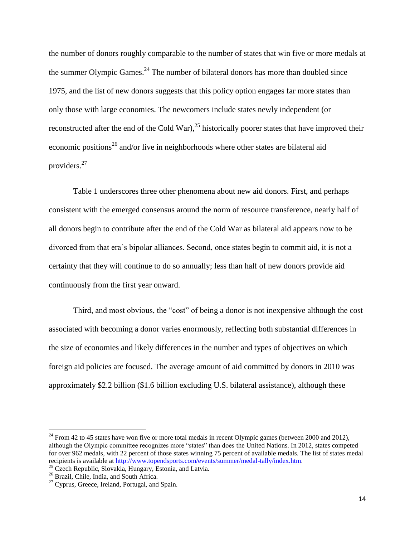the number of donors roughly comparable to the number of states that win five or more medals at the summer Olympic Games. $24$  The number of bilateral donors has more than doubled since 1975, and the list of new donors suggests that this policy option engages far more states than only those with large economies. The newcomers include states newly independent (or reconstructed after the end of the Cold War),<sup>25</sup> historically poorer states that have improved their economic positions<sup>26</sup> and/or live in neighborhoods where other states are bilateral aid providers.<sup>27</sup>

Table 1 underscores three other phenomena about new aid donors. First, and perhaps consistent with the emerged consensus around the norm of resource transference, nearly half of all donors begin to contribute after the end of the Cold War as bilateral aid appears now to be divorced from that era's bipolar alliances. Second, once states begin to commit aid, it is not a certainty that they will continue to do so annually; less than half of new donors provide aid continuously from the first year onward.

Third, and most obvious, the "cost" of being a donor is not inexpensive although the cost associated with becoming a donor varies enormously, reflecting both substantial differences in the size of economies and likely differences in the number and types of objectives on which foreign aid policies are focused. The average amount of aid committed by donors in 2010 was approximately \$2.2 billion (\$1.6 billion excluding U.S. bilateral assistance), although these

 $^{24}$  From 42 to 45 states have won five or more total medals in recent Olympic games (between 2000 and 2012), although the Olympic committee recognizes more "states" than does the United Nations. In 2012, states competed for over 962 medals, with 22 percent of those states winning 75 percent of available medals. The list of states medal recipients is available at [http://www.topendsports.com/events/summer/medal-tally/index.htm.](http://www.topendsports.com/events/summer/medal-tally/index.htm)

<sup>&</sup>lt;sup>25</sup> Czech Republic, Slovakia, Hungary, Estonia, and Latvia.

<sup>&</sup>lt;sup>26</sup> Brazil, Chile, India, and South Africa.

 $27$  Cyprus, Greece, Ireland, Portugal, and Spain.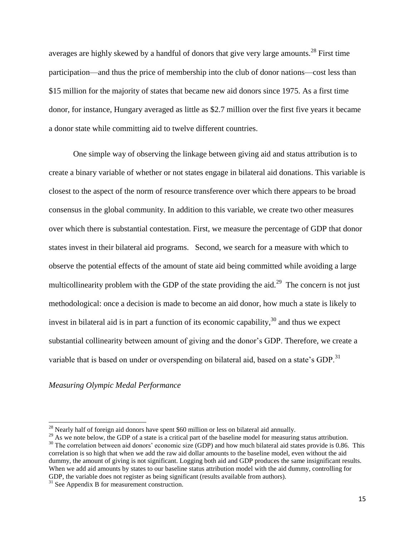averages are highly skewed by a handful of donors that give very large amounts.<sup>28</sup> First time participation—and thus the price of membership into the club of donor nations—cost less than \$15 million for the majority of states that became new aid donors since 1975. As a first time donor, for instance, Hungary averaged as little as \$2.7 million over the first five years it became a donor state while committing aid to twelve different countries.

One simple way of observing the linkage between giving aid and status attribution is to create a binary variable of whether or not states engage in bilateral aid donations. This variable is closest to the aspect of the norm of resource transference over which there appears to be broad consensus in the global community. In addition to this variable, we create two other measures over which there is substantial contestation. First, we measure the percentage of GDP that donor states invest in their bilateral aid programs. Second, we search for a measure with which to observe the potential effects of the amount of state aid being committed while avoiding a large multicollinearity problem with the GDP of the state providing the aid.<sup>29</sup> The concern is not just methodological: once a decision is made to become an aid donor, how much a state is likely to invest in bilateral aid is in part a function of its economic capability,  $30$  and thus we expect substantial collinearity between amount of giving and the donor's GDP. Therefore, we create a variable that is based on under or overspending on bilateral aid, based on a state's GDP.<sup>31</sup>

#### *Measuring Olympic Medal Performance*

 $28$  Nearly half of foreign aid donors have spent \$60 million or less on bilateral aid annually.

<sup>&</sup>lt;sup>29</sup> As we note below, the GDP of a state is a critical part of the baseline model for measuring status attribution.  $30$  The correlation between aid donors' economic size (GDP) and how much bilateral aid states provide is 0.86. This correlation is so high that when we add the raw aid dollar amounts to the baseline model, even without the aid dummy, the amount of giving is not significant. Logging both aid and GDP produces the same insignificant results. When we add aid amounts by states to our baseline status attribution model with the aid dummy, controlling for GDP, the variable does not register as being significant (results available from authors).

<sup>&</sup>lt;sup>31</sup> See Appendix B for measurement construction.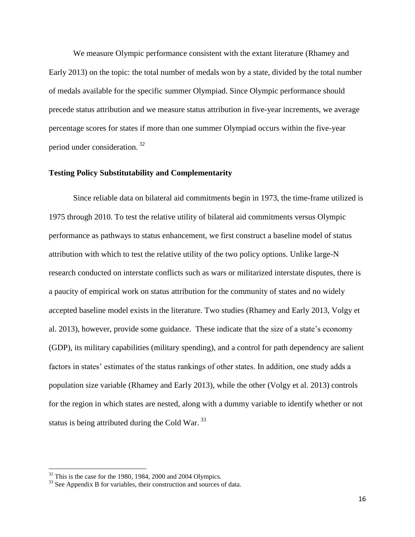We measure Olympic performance consistent with the extant literature (Rhamey and Early 2013) on the topic: the total number of medals won by a state, divided by the total number of medals available for the specific summer Olympiad. Since Olympic performance should precede status attribution and we measure status attribution in five-year increments, we average percentage scores for states if more than one summer Olympiad occurs within the five-year period under consideration. <sup>32</sup>

#### **Testing Policy Substitutability and Complementarity**

Since reliable data on bilateral aid commitments begin in 1973, the time-frame utilized is 1975 through 2010. To test the relative utility of bilateral aid commitments versus Olympic performance as pathways to status enhancement, we first construct a baseline model of status attribution with which to test the relative utility of the two policy options. Unlike large-N research conducted on interstate conflicts such as wars or militarized interstate disputes, there is a paucity of empirical work on status attribution for the community of states and no widely accepted baseline model exists in the literature. Two studies (Rhamey and Early 2013, Volgy et al. 2013), however, provide some guidance. These indicate that the size of a state's economy (GDP), its military capabilities (military spending), and a control for path dependency are salient factors in states' estimates of the status rankings of other states. In addition, one study adds a population size variable (Rhamey and Early 2013), while the other (Volgy et al. 2013) controls for the region in which states are nested, along with a dummy variable to identify whether or not status is being attributed during the Cold War.<sup>33</sup>

 $32$  This is the case for the 1980, 1984, 2000 and 2004 Olympics.

<sup>&</sup>lt;sup>33</sup> See Appendix B for variables, their construction and sources of data.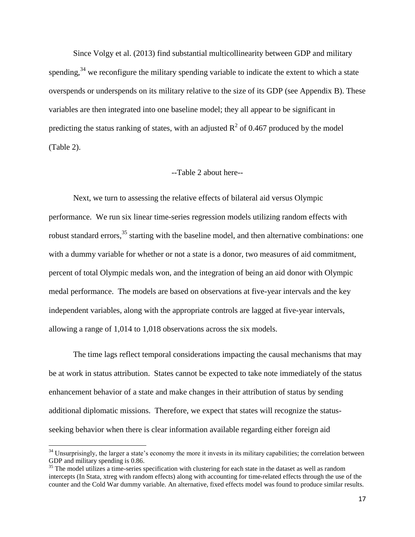Since Volgy et al. (2013) find substantial multicollinearity between GDP and military spending,<sup>34</sup> we reconfigure the military spending variable to indicate the extent to which a state overspends or underspends on its military relative to the size of its GDP (see Appendix B). These variables are then integrated into one baseline model; they all appear to be significant in predicting the status ranking of states, with an adjusted  $R^2$  of 0.467 produced by the model (Table 2).

### --Table 2 about here--

Next, we turn to assessing the relative effects of bilateral aid versus Olympic performance. We run six linear time-series regression models utilizing random effects with robust standard errors,<sup>35</sup> starting with the baseline model, and then alternative combinations: one with a dummy variable for whether or not a state is a donor, two measures of aid commitment, percent of total Olympic medals won, and the integration of being an aid donor with Olympic medal performance. The models are based on observations at five-year intervals and the key independent variables, along with the appropriate controls are lagged at five-year intervals, allowing a range of 1,014 to 1,018 observations across the six models.

The time lags reflect temporal considerations impacting the causal mechanisms that may be at work in status attribution. States cannot be expected to take note immediately of the status enhancement behavior of a state and make changes in their attribution of status by sending additional diplomatic missions. Therefore, we expect that states will recognize the statusseeking behavior when there is clear information available regarding either foreign aid

 $34$  Unsurprisingly, the larger a state's economy the more it invests in its military capabilities; the correlation between GDP and military spending is 0.86.

 $35$  The model utilizes a time-series specification with clustering for each state in the dataset as well as random intercepts (In Stata, xtreg with random effects) along with accounting for time-related effects through the use of the counter and the Cold War dummy variable. An alternative, fixed effects model was found to produce similar results.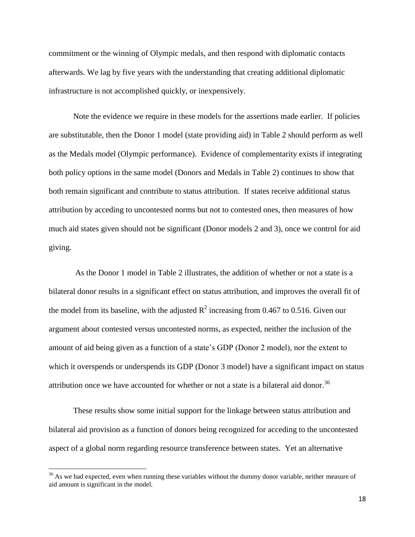commitment or the winning of Olympic medals, and then respond with diplomatic contacts afterwards. We lag by five years with the understanding that creating additional diplomatic infrastructure is not accomplished quickly, or inexpensively.

Note the evidence we require in these models for the assertions made earlier. If policies are substitutable, then the Donor 1 model (state providing aid) in Table 2 should perform as well as the Medals model (Olympic performance). Evidence of complementarity exists if integrating both policy options in the same model (Donors and Medals in Table 2) continues to show that both remain significant and contribute to status attribution. If states receive additional status attribution by acceding to uncontested norms but not to contested ones, then measures of how much aid states given should not be significant (Donor models 2 and 3), once we control for aid giving.

As the Donor 1 model in Table 2 illustrates, the addition of whether or not a state is a bilateral donor results in a significant effect on status attribution, and improves the overall fit of the model from its baseline, with the adjusted  $R^2$  increasing from 0.467 to 0.516. Given our argument about contested versus uncontested norms, as expected, neither the inclusion of the amount of aid being given as a function of a state's GDP (Donor 2 model), nor the extent to which it overspends or underspends its GDP (Donor 3 model) have a significant impact on status attribution once we have accounted for whether or not a state is a bilateral aid donor.<sup>36</sup>

These results show some initial support for the linkage between status attribution and bilateral aid provision as a function of donors being recognized for acceding to the uncontested aspect of a global norm regarding resource transference between states. Yet an alternative

 $36$  As we had expected, even when running these variables without the dummy donor variable, neither measure of aid amount is significant in the model.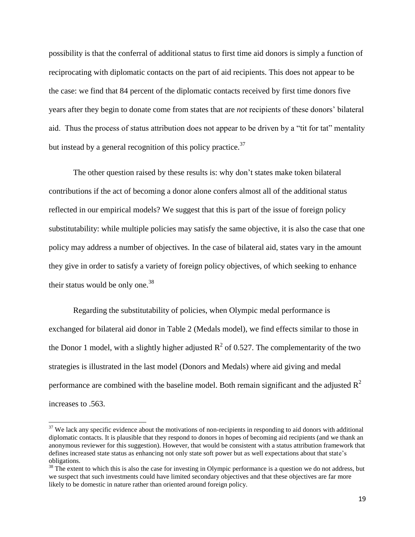possibility is that the conferral of additional status to first time aid donors is simply a function of reciprocating with diplomatic contacts on the part of aid recipients. This does not appear to be the case: we find that 84 percent of the diplomatic contacts received by first time donors five years after they begin to donate come from states that are *not* recipients of these donors' bilateral aid. Thus the process of status attribution does not appear to be driven by a "tit for tat" mentality but instead by a general recognition of this policy practice. $37$ 

The other question raised by these results is: why don't states make token bilateral contributions if the act of becoming a donor alone confers almost all of the additional status reflected in our empirical models? We suggest that this is part of the issue of foreign policy substitutability: while multiple policies may satisfy the same objective, it is also the case that one policy may address a number of objectives. In the case of bilateral aid, states vary in the amount they give in order to satisfy a variety of foreign policy objectives, of which seeking to enhance their status would be only one. $38$ 

Regarding the substitutability of policies, when Olympic medal performance is exchanged for bilateral aid donor in Table 2 (Medals model), we find effects similar to those in the Donor 1 model, with a slightly higher adjusted  $R^2$  of 0.527. The complementarity of the two strategies is illustrated in the last model (Donors and Medals) where aid giving and medal performance are combined with the baseline model. Both remain significant and the adjusted  $R^2$ increases to .563.

 $37$  We lack any specific evidence about the motivations of non-recipients in responding to aid donors with additional diplomatic contacts. It is plausible that they respond to donors in hopes of becoming aid recipients (and we thank an anonymous reviewer for this suggestion). However, that would be consistent with a status attribution framework that defines increased state status as enhancing not only state soft power but as well expectations about that state's obligations.

 $38$  The extent to which this is also the case for investing in Olympic performance is a question we do not address, but we suspect that such investments could have limited secondary objectives and that these objectives are far more likely to be domestic in nature rather than oriented around foreign policy.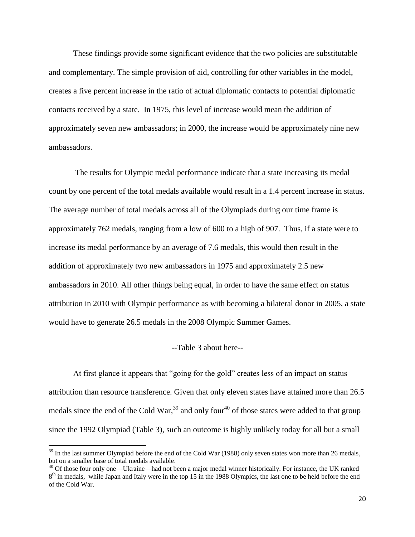These findings provide some significant evidence that the two policies are substitutable and complementary. The simple provision of aid, controlling for other variables in the model, creates a five percent increase in the ratio of actual diplomatic contacts to potential diplomatic contacts received by a state. In 1975, this level of increase would mean the addition of approximately seven new ambassadors; in 2000, the increase would be approximately nine new ambassadors.

The results for Olympic medal performance indicate that a state increasing its medal count by one percent of the total medals available would result in a 1.4 percent increase in status. The average number of total medals across all of the Olympiads during our time frame is approximately 762 medals, ranging from a low of 600 to a high of 907. Thus, if a state were to increase its medal performance by an average of 7.6 medals, this would then result in the addition of approximately two new ambassadors in 1975 and approximately 2.5 new ambassadors in 2010. All other things being equal, in order to have the same effect on status attribution in 2010 with Olympic performance as with becoming a bilateral donor in 2005, a state would have to generate 26.5 medals in the 2008 Olympic Summer Games.

#### --Table 3 about here--

At first glance it appears that "going for the gold" creates less of an impact on status attribution than resource transference. Given that only eleven states have attained more than 26.5 medals since the end of the Cold War,<sup>39</sup> and only four<sup>40</sup> of those states were added to that group since the 1992 Olympiad (Table 3), such an outcome is highly unlikely today for all but a small

 $39$  In the last summer Olympiad before the end of the Cold War (1988) only seven states won more than 26 medals, but on a smaller base of total medals available.

<sup>&</sup>lt;sup>40</sup> Of those four only one—Ukraine—had not been a major medal winner historically. For instance, the UK ranked 8<sup>th</sup> in medals, while Japan and Italy were in the top 15 in the 1988 Olympics, the last one to be held before the end of the Cold War.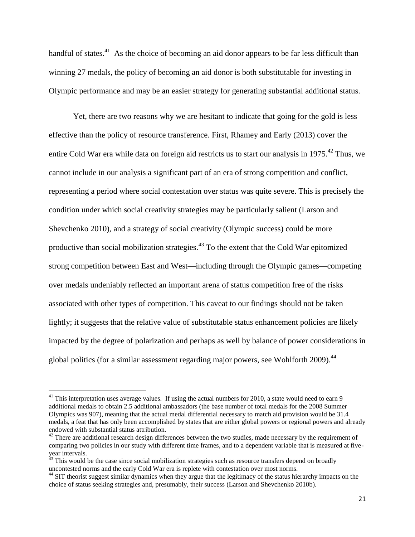handful of states.<sup>41</sup> As the choice of becoming an aid donor appears to be far less difficult than winning 27 medals, the policy of becoming an aid donor is both substitutable for investing in Olympic performance and may be an easier strategy for generating substantial additional status.

Yet, there are two reasons why we are hesitant to indicate that going for the gold is less effective than the policy of resource transference. First, Rhamey and Early (2013) cover the entire Cold War era while data on foreign aid restricts us to start our analysis in 1975.<sup>42</sup> Thus, we cannot include in our analysis a significant part of an era of strong competition and conflict, representing a period where social contestation over status was quite severe. This is precisely the condition under which social creativity strategies may be particularly salient (Larson and Shevchenko 2010), and a strategy of social creativity (Olympic success) could be more productive than social mobilization strategies.<sup>43</sup> To the extent that the Cold War epitomized strong competition between East and West—including through the Olympic games—competing over medals undeniably reflected an important arena of status competition free of the risks associated with other types of competition. This caveat to our findings should not be taken lightly; it suggests that the relative value of substitutable status enhancement policies are likely impacted by the degree of polarization and perhaps as well by balance of power considerations in global politics (for a similar assessment regarding major powers, see Wohlforth 2009).<sup>44</sup>

 $41$  This interpretation uses average values. If using the actual numbers for 2010, a state would need to earn 9 additional medals to obtain 2.5 additional ambassadors (the base number of total medals for the 2008 Summer Olympics was 907), meaning that the actual medal differential necessary to match aid provision would be 31.4 medals, a feat that has only been accomplished by states that are either global powers or regional powers and already endowed with substantial status attribution.

 $42$  There are additional research design differences between the two studies, made necessary by the requirement of comparing two policies in our study with different time frames, and to a dependent variable that is measured at fiveyear intervals.

<sup>&</sup>lt;sup>43</sup> This would be the case since social mobilization strategies such as resource transfers depend on broadly uncontested norms and the early Cold War era is replete with contestation over most norms.

<sup>&</sup>lt;sup>44</sup> SIT theorist suggest similar dynamics when they argue that the legitimacy of the status hierarchy impacts on the choice of status seeking strategies and, presumably, their success (Larson and Shevchenko 2010b).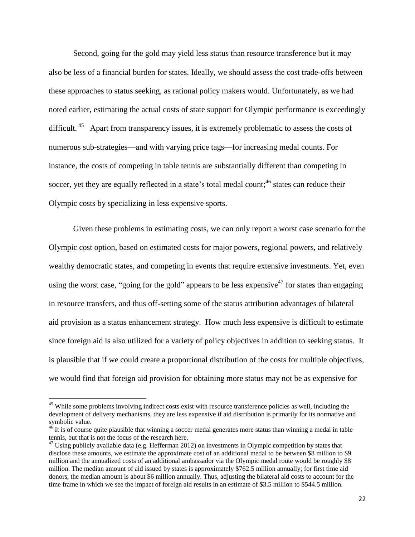Second, going for the gold may yield less status than resource transference but it may also be less of a financial burden for states. Ideally, we should assess the cost trade-offs between these approaches to status seeking, as rational policy makers would. Unfortunately, as we had noted earlier, estimating the actual costs of state support for Olympic performance is exceedingly difficult.<sup>45</sup> Apart from transparency issues, it is extremely problematic to assess the costs of numerous sub-strategies—and with varying price tags—for increasing medal counts. For instance, the costs of competing in table tennis are substantially different than competing in soccer, yet they are equally reflected in a state's total medal count;<sup>46</sup> states can reduce their Olympic costs by specializing in less expensive sports.

Given these problems in estimating costs, we can only report a worst case scenario for the Olympic cost option, based on estimated costs for major powers, regional powers, and relatively wealthy democratic states, and competing in events that require extensive investments. Yet, even using the worst case, "going for the gold" appears to be less expensive  $47$  for states than engaging in resource transfers, and thus off-setting some of the status attribution advantages of bilateral aid provision as a status enhancement strategy. How much less expensive is difficult to estimate since foreign aid is also utilized for a variety of policy objectives in addition to seeking status. It is plausible that if we could create a proportional distribution of the costs for multiple objectives, we would find that foreign aid provision for obtaining more status may not be as expensive for

<sup>&</sup>lt;sup>45</sup> While some problems involving indirect costs exist with resource transference policies as well, including the development of delivery mechanisms, they are less expensive if aid distribution is primarily for its normative and symbolic value.

 $46$  It is of course quite plausible that winning a soccer medal generates more status than winning a medal in table tennis, but that is not the focus of the research here.

 $47$  Using publicly available data (e.g. Hefferman 2012) on investments in Olympic competition by states that disclose these amounts, we estimate the approximate cost of an additional medal to be between \$8 million to \$9 million and the annualized costs of an additional ambassador via the Olympic medal route would be roughly \$8 million. The median amount of aid issued by states is approximately \$762.5 million annually; for first time aid donors, the median amount is about \$6 million annually. Thus, adjusting the bilateral aid costs to account for the time frame in which we see the impact of foreign aid results in an estimate of \$3.5 million to \$544.5 million.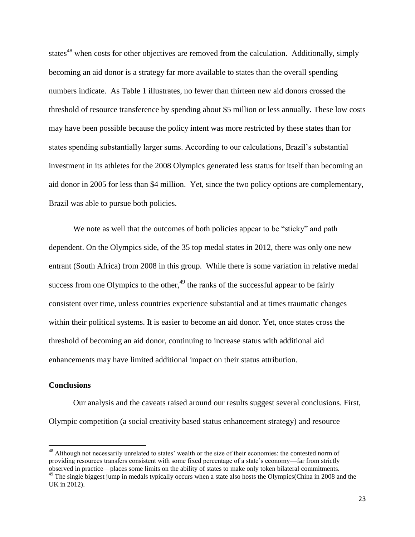states<sup>48</sup> when costs for other objectives are removed from the calculation. Additionally, simply becoming an aid donor is a strategy far more available to states than the overall spending numbers indicate. As Table 1 illustrates, no fewer than thirteen new aid donors crossed the threshold of resource transference by spending about \$5 million or less annually. These low costs may have been possible because the policy intent was more restricted by these states than for states spending substantially larger sums. According to our calculations, Brazil's substantial investment in its athletes for the 2008 Olympics generated less status for itself than becoming an aid donor in 2005 for less than \$4 million. Yet, since the two policy options are complementary, Brazil was able to pursue both policies.

We note as well that the outcomes of both policies appear to be "sticky" and path dependent. On the Olympics side, of the 35 top medal states in 2012, there was only one new entrant (South Africa) from 2008 in this group. While there is some variation in relative medal success from one Olympics to the other,  $49$  the ranks of the successful appear to be fairly consistent over time, unless countries experience substantial and at times traumatic changes within their political systems. It is easier to become an aid donor. Yet, once states cross the threshold of becoming an aid donor, continuing to increase status with additional aid enhancements may have limited additional impact on their status attribution.

#### **Conclusions**

 $\overline{a}$ 

Our analysis and the caveats raised around our results suggest several conclusions. First, Olympic competition (a social creativity based status enhancement strategy) and resource

<sup>&</sup>lt;sup>48</sup> Although not necessarily unrelated to states' wealth or the size of their economies: the contested norm of providing resources transfers consistent with some fixed percentage of a state's economy—far from strictly observed in practice—places some limits on the ability of states to make only token bilateral commitments.

<sup>&</sup>lt;sup>49</sup> The single biggest jump in medals typically occurs when a state also hosts the Olympics(China in 2008 and the UK in 2012).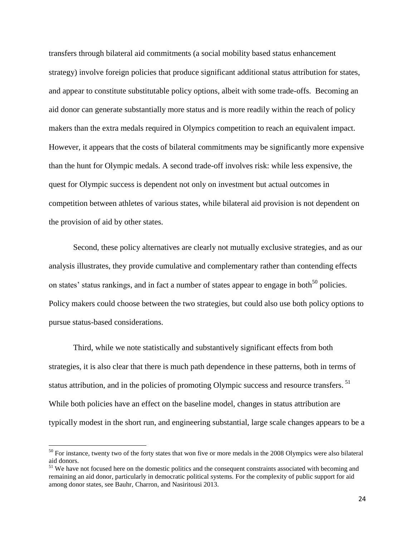transfers through bilateral aid commitments (a social mobility based status enhancement strategy) involve foreign policies that produce significant additional status attribution for states, and appear to constitute substitutable policy options, albeit with some trade-offs. Becoming an aid donor can generate substantially more status and is more readily within the reach of policy makers than the extra medals required in Olympics competition to reach an equivalent impact. However, it appears that the costs of bilateral commitments may be significantly more expensive than the hunt for Olympic medals. A second trade-off involves risk: while less expensive, the quest for Olympic success is dependent not only on investment but actual outcomes in competition between athletes of various states, while bilateral aid provision is not dependent on the provision of aid by other states.

Second, these policy alternatives are clearly not mutually exclusive strategies, and as our analysis illustrates, they provide cumulative and complementary rather than contending effects on states' status rankings, and in fact a number of states appear to engage in both<sup>50</sup> policies. Policy makers could choose between the two strategies, but could also use both policy options to pursue status-based considerations.

Third, while we note statistically and substantively significant effects from both strategies, it is also clear that there is much path dependence in these patterns, both in terms of status attribution, and in the policies of promoting Olympic success and resource transfers. <sup>51</sup> While both policies have an effect on the baseline model, changes in status attribution are typically modest in the short run, and engineering substantial, large scale changes appears to be a

 $50$  For instance, twenty two of the forty states that won five or more medals in the 2008 Olympics were also bilateral aid donors.

<sup>&</sup>lt;sup>51</sup> We have not focused here on the domestic politics and the consequent constraints associated with becoming and remaining an aid donor, particularly in democratic political systems. For the complexity of public support for aid among donor states, see Bauhr, Charron, and Nasiritousi 2013.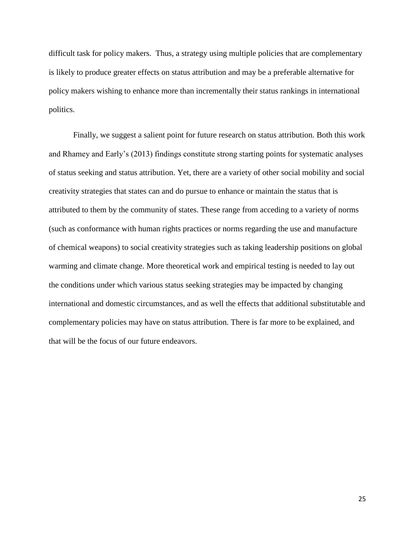difficult task for policy makers. Thus, a strategy using multiple policies that are complementary is likely to produce greater effects on status attribution and may be a preferable alternative for policy makers wishing to enhance more than incrementally their status rankings in international politics.

Finally, we suggest a salient point for future research on status attribution. Both this work and Rhamey and Early's (2013) findings constitute strong starting points for systematic analyses of status seeking and status attribution. Yet, there are a variety of other social mobility and social creativity strategies that states can and do pursue to enhance or maintain the status that is attributed to them by the community of states. These range from acceding to a variety of norms (such as conformance with human rights practices or norms regarding the use and manufacture of chemical weapons) to social creativity strategies such as taking leadership positions on global warming and climate change. More theoretical work and empirical testing is needed to lay out the conditions under which various status seeking strategies may be impacted by changing international and domestic circumstances, and as well the effects that additional substitutable and complementary policies may have on status attribution. There is far more to be explained, and that will be the focus of our future endeavors.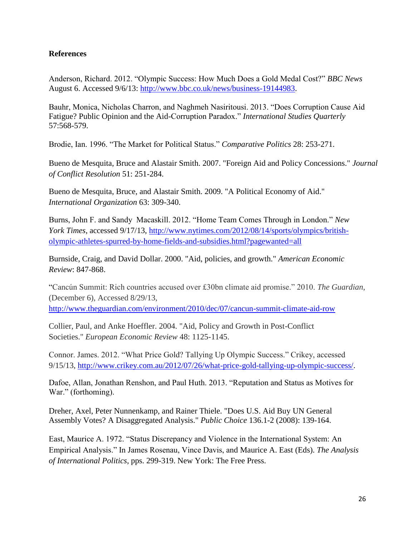# **References**

Anderson, Richard. 2012. "Olympic Success: How Much Does a Gold Medal Cost?" *BBC News* August 6. Accessed 9/6/13: [http://www.bbc.co.uk/news/business-19144983.](http://www.bbc.co.uk/news/business-19144983)

Bauhr, Monica, Nicholas Charron, and Naghmeh Nasiritousi. 2013. "Does Corruption Cause Aid Fatigue? Public Opinion and the Aid-Corruption Paradox." *International Studies Quarterly* 57:568-579.

Brodie, Ian. 1996. "The Market for Political Status." *Comparative Politics* 28: 253-271.

Bueno de Mesquita, Bruce and Alastair Smith. 2007. "Foreign Aid and Policy Concessions." *Journal of Conflict Resolution* 51: 251-284.

Bueno de Mesquita, Bruce, and Alastair Smith. 2009. "A Political Economy of Aid." *International Organization* 63: 309-340.

Burns, John F. and Sandy Macaskill. 2012. "Home Team Comes Through in London." *New York Times*, accessed 9/17/13, [http://www.nytimes.com/2012/08/14/sports/olympics/british](http://www.nytimes.com/2012/08/14/sports/olympics/british-olympic-athletes-spurred-by-home-fields-and-subsidies.html?pagewanted=all)[olympic-athletes-spurred-by-home-fields-and-subsidies.html?pagewanted=all](http://www.nytimes.com/2012/08/14/sports/olympics/british-olympic-athletes-spurred-by-home-fields-and-subsidies.html?pagewanted=all)

Burnside, Craig, and David Dollar. 2000. "Aid, policies, and growth." *American Economic Review*: 847-868.

"Cancún Summit: Rich countries accused over £30bn climate aid promise." 2010. *The Guardian*, (December 6), Accessed 8/29/13,

<http://www.theguardian.com/environment/2010/dec/07/cancun-summit-climate-aid-row>

Collier, Paul, and Anke Hoeffler. 2004. "Aid, Policy and Growth in Post-Conflict Societies." *European Economic Review* 48: 1125-1145.

Connor. James. 2012. "What Price Gold? Tallying Up Olympic Success." Crikey, accessed 9/15/13, [http://www.crikey.com.au/2012/07/26/what-price-gold-tallying-up-olympic-success/.](http://www.crikey.com.au/2012/07/26/what-price-gold-tallying-up-olympic-success/)

Dafoe, Allan, Jonathan Renshon, and Paul Huth. 2013. "Reputation and Status as Motives for War." (forthoming).

Dreher, Axel, Peter Nunnenkamp, and Rainer Thiele. "Does U.S. Aid Buy UN General Assembly Votes? A Disaggregated Analysis." *Public Choice* 136.1-2 (2008): 139-164.

East, Maurice A. 1972. "Status Discrepancy and Violence in the International System: An Empirical Analysis." In James Rosenau, Vince Davis, and Maurice A. East (Eds). *The Analysis of International Politics*, pps. 299-319. New York: The Free Press.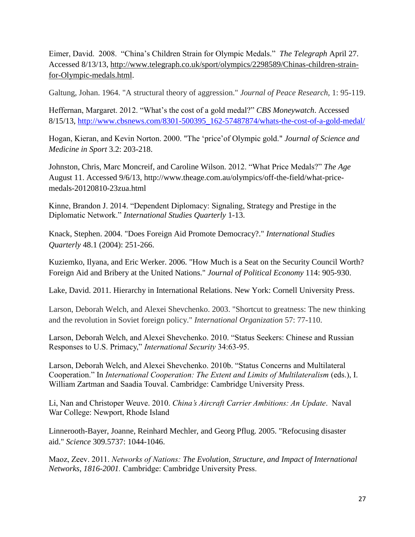Eimer, David. 2008. "China's Children Strain for Olympic Medals." *The Telegraph* April 27. Accessed 8/13/13, [http://www.telegraph.co.uk/sport/olympics/2298589/Chinas-children-strain](http://www.telegraph.co.uk/sport/olympics/2298589/Chinas-children-strain-for-Olympic-medals.html)[for-Olympic-medals.html.](http://www.telegraph.co.uk/sport/olympics/2298589/Chinas-children-strain-for-Olympic-medals.html)

Galtung, Johan. 1964. "A structural theory of aggression." *Journal of Peace Research,* 1: 95-119.

Heffernan, Margaret. 2012. "What's the cost of a gold medal?" *CBS Moneywatch*. Accessed 8/15/13, [http://www.cbsnews.com/8301-500395\\_162-57487874/whats-the-cost-of-a-gold-medal/](http://www.cbsnews.com/8301-500395_162-57487874/whats-the-cost-of-a-gold-medal/)

Hogan, Kieran, and Kevin Norton. 2000. "The 'price'of Olympic gold." *Journal of Science and Medicine in Sport* 3.2: 203-218.

Johnston, Chris, Marc Moncreif, and Caroline Wilson. 2012. "What Price Medals?" *The Age* August 11. Accessed 9/6/13, http://www.theage.com.au/olympics/off-the-field/what-pricemedals-20120810-23zua.html

Kinne, Brandon J. 2014. "Dependent Diplomacy: Signaling, Strategy and Prestige in the Diplomatic Network." *International Studies Quarterly* 1-13.

Knack, Stephen. 2004. "Does Foreign Aid Promote Democracy?." *International Studies Quarterly* 48.1 (2004): 251-266.

Kuziemko, Ilyana, and Eric Werker. 2006. "How Much is a Seat on the Security Council Worth? Foreign Aid and Bribery at the United Nations." *Journal of Political Economy* 114: 905-930.

Lake, David. 2011. Hierarchy in International Relations. New York: Cornell University Press.

Larson, Deborah Welch, and Alexei Shevchenko. 2003. "Shortcut to greatness: The new thinking and the revolution in Soviet foreign policy." *International Organization* 57: 77-110.

Larson, Deborah Welch, and Alexei Shevchenko. 2010. "Status Seekers: Chinese and Russian Responses to U.S. Primacy," *International Security* 34:63-95.

Larson, Deborah Welch, and Alexei Shevchenko. 2010b. "Status Concerns and Multilateral Cooperation." In *International Cooperation: The Extent and Limits of Multilateralism* (eds.), I. William Zartman and Saadia Touval. Cambridge: Cambridge University Press.

Li, Nan and Christoper Weuve. 2010. *China's Aircraft Carrier Ambitions: An Update*. Naval War College: Newport, Rhode Island

Linnerooth-Bayer, Joanne, Reinhard Mechler, and Georg Pflug. 2005. "Refocusing disaster aid." *Science* 309.5737: 1044-1046.

Maoz, Zeev. 2011. *Networks of Nations: The Evolution, Structure, and Impact of International Networks, 1816-2001.* Cambridge: Cambridge University Press.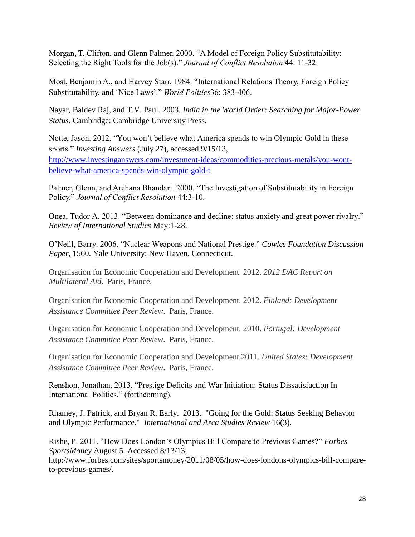Morgan, T. Clifton, and Glenn Palmer. 2000. "A Model of Foreign Policy Substitutability: Selecting the Right Tools for the Job(s)." *Journal of Conflict Resolution* 44: 11-32.

Most, Benjamin A., and Harvey Starr. 1984. "International Relations Theory, Foreign Policy Substitutability, and 'Nice Laws'." *World Politics*36: 383-406.

Nayar, Baldev Raj, and T.V. Paul. 2003. *India in the World Order: Searching for Major-Power Status*. Cambridge: Cambridge University Press.

Notte, Jason. 2012. "You won't believe what America spends to win Olympic Gold in these sports." *Investing Answers* (July 27), accessed 9/15/13, [http://www.investinganswers.com/investment-ideas/commodities-precious-metals/you-wont](http://www.investinganswers.com/investment-ideas/commodities-precious-metals/you-wont-believe-what-america-spends-win-olympic-gold-t)[believe-what-america-spends-win-olympic-gold-t](http://www.investinganswers.com/investment-ideas/commodities-precious-metals/you-wont-believe-what-america-spends-win-olympic-gold-t)

Palmer, Glenn, and Archana Bhandari. 2000. "The Investigation of Substitutability in Foreign Policy." *Journal of Conflict Resolution* 44:3-10.

Onea, Tudor A. 2013. "Between dominance and decline: status anxiety and great power rivalry." *Review of International Studies* May:1-28.

O'Neill, Barry. 2006. "Nuclear Weapons and National Prestige." *Cowles Foundation Discussion Paper,* 1560. Yale University: New Haven, Connecticut.

Organisation for Economic Cooperation and Development. 2012. *2012 DAC Report on Multilateral Aid*. Paris, France.

Organisation for Economic Cooperation and Development. 2012. *Finland: Development Assistance Committee Peer Review*. Paris, France.

Organisation for Economic Cooperation and Development. 2010. *Portugal: Development Assistance Committee Peer Review*. Paris, France.

Organisation for Economic Cooperation and Development.2011. *United States: Development Assistance Committee Peer Review*. Paris, France.

Renshon, Jonathan. 2013. "Prestige Deficits and War Initiation: Status Dissatisfaction In International Politics." (forthcoming).

Rhamey, J. Patrick, and Bryan R. Early. 2013. "Going for the Gold: Status Seeking Behavior and Olympic Performance." *International and Area Studies Review* 16(3).

Rishe, P. 2011. "How Does London's Olympics Bill Compare to Previous Games?" *Forbes SportsMoney* August 5. Accessed 8/13/13, [http://www.forbes.com/sites/sportsmoney/2011/08/05/how-does-londons-olympics-bill-compare](http://www.forbes.com/sites/sportsmoney/2011/08/05/how-does-londons-olympics-bill-compare-to-previous-games/)[to-previous-games/.](http://www.forbes.com/sites/sportsmoney/2011/08/05/how-does-londons-olympics-bill-compare-to-previous-games/)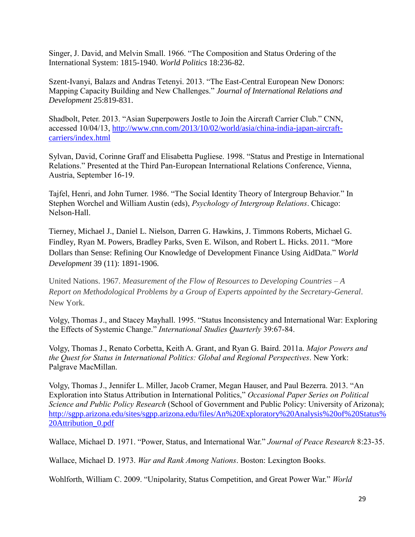Singer, J. David, and Melvin Small. 1966. "The Composition and Status Ordering of the International System: 1815-1940. *World Politics* 18:236-82.

Szent-Ivanyi, Balazs and Andras Tetenyi. 2013. "The East-Central European New Donors: Mapping Capacity Building and New Challenges." *Journal of International Relations and Development* 25:819-831.

Shadbolt, Peter. 2013. "Asian Superpowers Jostle to Join the Aircraft Carrier Club." CNN, accessed 10/04/13, [http://www.cnn.com/2013/10/02/world/asia/china-india-japan-aircraft](http://www.cnn.com/2013/10/02/world/asia/china-india-japan-aircraft-carriers/index.html)[carriers/index.html](http://www.cnn.com/2013/10/02/world/asia/china-india-japan-aircraft-carriers/index.html)

Sylvan, David, Corinne Graff and Elisabetta Pugliese. 1998. "Status and Prestige in International Relations." Presented at the Third Pan-European International Relations Conference, Vienna, Austria, September 16-19.

Tajfel, Henri, and John Turner. 1986. "The Social Identity Theory of Intergroup Behavior." In Stephen Worchel and William Austin (eds), *Psychology of Intergroup Relations*. Chicago: Nelson-Hall.

Tierney, Michael J., Daniel L. Nielson, Darren G. Hawkins, J. Timmons Roberts, Michael G. Findley, Ryan M. Powers, Bradley Parks, Sven E. Wilson, and Robert L. Hicks. 2011. ["More](http://www.aiddata.org/weceem_uploads/_ROOT/File/MoreDollarsThanSenseNovember2011.pdf) Dollars than Sense: Refining Our Knowledge of [Development](http://www.aiddata.org/weceem_uploads/_ROOT/File/MoreDollarsThanSenseNovember2011.pdf) Finance Using AidData." *World Development* 39 (11): 1891-1906.

United Nations. 1967. *Measurement of the Flow of Resources to Developing Countries – A Report on Methodological Problems by a Group of Experts appointed by the Secretary-General*. New York.

Volgy, Thomas J., and Stacey Mayhall. 1995. "Status Inconsistency and International War: Exploring the Effects of Systemic Change." *International Studies Quarterly* 39:67-84.

Volgy, Thomas J., Renato Corbetta, Keith A. Grant, and Ryan G. Baird. 2011a. *Major Powers and the Quest for Status in International Politics: Global and Regional Perspectives*. New York: Palgrave MacMillan.

Volgy, Thomas J., Jennifer L. Miller, Jacob Cramer, Megan Hauser, and Paul Bezerra. 2013. "An Exploration into Status Attribution in International Politics," *Occasional Paper Series on Political Science and Public Policy Research* (School of Government and Public Policy: University of Arizona); [http://sgpp.arizona.edu/sites/sgpp.arizona.edu/files/An%20Exploratory%20Analysis%20of%20Status%](http://sgpp.arizona.edu/sites/sgpp.arizona.edu/files/An%20Exploratory%20Analysis%20of%20Status%20Attribution_0.pdf) [20Attribution\\_0.pdf](http://sgpp.arizona.edu/sites/sgpp.arizona.edu/files/An%20Exploratory%20Analysis%20of%20Status%20Attribution_0.pdf)

Wallace, Michael D. 1971. "Power, Status, and International War." *Journal of Peace Research* 8:23-35.

Wallace, Michael D. 1973. *War and Rank Among Nations*. Boston: Lexington Books.

Wohlforth, William C. 2009. "Unipolarity, Status Competition, and Great Power War." *World*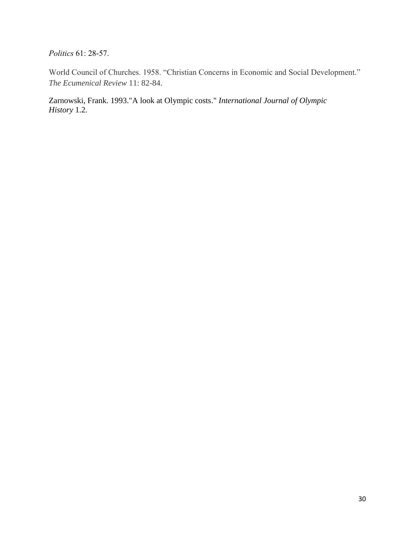*Politics* 61: 28-57.

World Council of Churches. 1958. "Christian Concerns in Economic and Social Development." *The Ecumenical Review* 11: 82-84.

Zarnowski, Frank. 1993."A look at Olympic costs." *International Journal of Olympic History* 1.2.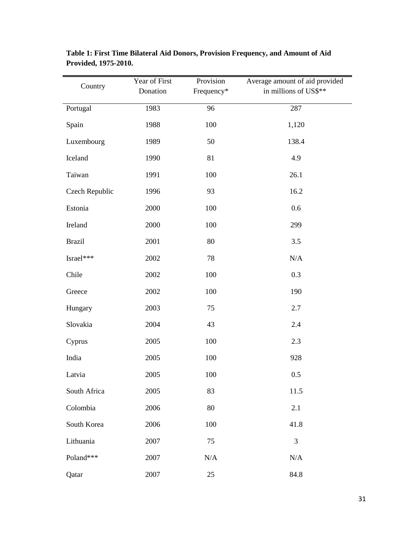| Country        | Year of First<br>Donation | Provision<br>Frequency* | Average amount of aid provided<br>in millions of US\$** |
|----------------|---------------------------|-------------------------|---------------------------------------------------------|
| Portugal       | 1983                      | 96                      | 287                                                     |
| Spain          | 1988                      | 100                     | 1,120                                                   |
| Luxembourg     | 1989                      | 50                      | 138.4                                                   |
| Iceland        | 1990                      | 81                      | 4.9                                                     |
| Taiwan         | 1991                      | 100                     | 26.1                                                    |
| Czech Republic | 1996                      | 93                      | 16.2                                                    |
| Estonia        | 2000                      | 100                     | 0.6                                                     |
| Ireland        | 2000                      | 100                     | 299                                                     |
| <b>Brazil</b>  | 2001                      | 80                      | 3.5                                                     |
| Israel***      | 2002                      | 78                      | N/A                                                     |
| Chile          | 2002                      | 100                     | 0.3                                                     |
| Greece         | 2002                      | 100                     | 190                                                     |
| Hungary        | 2003                      | 75                      | 2.7                                                     |
| Slovakia       | 2004                      | 43                      | 2.4                                                     |
| Cyprus         | 2005                      | 100                     | 2.3                                                     |
| India          | 2005                      | 100                     | 928                                                     |
| Latvia         | 2005                      | 100                     | 0.5                                                     |
| South Africa   | 2005                      | 83                      | 11.5                                                    |
| Colombia       | 2006                      | 80                      | 2.1                                                     |
| South Korea    | 2006                      | 100                     | 41.8                                                    |
| Lithuania      | 2007                      | 75                      | $\mathfrak{Z}$                                          |
| Poland***      | 2007                      | N/A                     | N/A                                                     |
| Qatar          | 2007                      | 25                      | 84.8                                                    |

**Table 1: First Time Bilateral Aid Donors, Provision Frequency, and Amount of Aid Provided, 1975-2010.**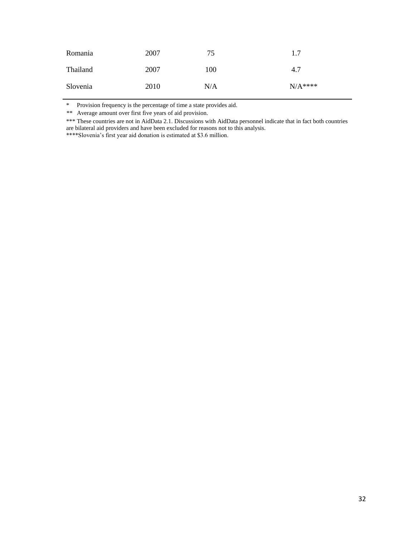| Romania  | 2007 | 75  | 1.7      |
|----------|------|-----|----------|
| Thailand | 2007 | 100 | 4.7      |
| Slovenia | 2010 | N/A | $N/A***$ |

\* Provision frequency is the percentage of time a state provides aid.

*\*\** Average amount over first five years of aid provision.

\*\*\* These countries are not in AidData 2.1. Discussions with AidData personnel indicate that in fact both countries are bilateral aid providers and have been excluded for reasons not to this analysis.

\*\*\*\*Slovenia's first year aid donation is estimated at \$3.6 million.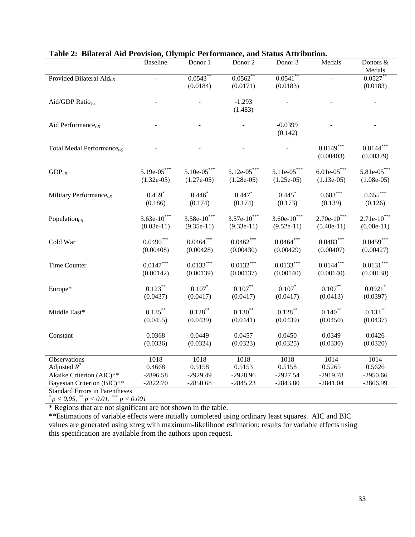| <b>Direct all the LLO vision, Olym</b> | <b>Baseline</b> | Donor 1             | Donor 2       | ne i erformance, and baads rich houdom<br>Donor 3 | Medals                | Donors &                |
|----------------------------------------|-----------------|---------------------|---------------|---------------------------------------------------|-----------------------|-------------------------|
| Provided Bilateral Aid <sub>t-5</sub>  |                 | 0.0543              | $0.0562$ **   | 0.0541                                            |                       | Medals<br>$0.0527$ **   |
|                                        |                 | (0.0184)            | (0.0171)      | (0.0183)                                          |                       | (0.0183)                |
|                                        |                 |                     |               |                                                   |                       |                         |
| Aid/GDP Ratio <sub>t-5</sub>           |                 |                     | $-1.293$      |                                                   |                       |                         |
|                                        |                 |                     | (1.483)       |                                                   |                       |                         |
| Aid Performance <sub>t-5</sub>         |                 |                     |               | $-0.0399$                                         |                       |                         |
|                                        |                 |                     |               | (0.142)                                           |                       |                         |
|                                        |                 |                     |               |                                                   |                       |                         |
| Total Medal Performance <sub>t-5</sub> |                 |                     |               |                                                   | $0.0149***$           | $0.0144***$             |
|                                        |                 |                     |               |                                                   | (0.00403)             | (0.00379)               |
| $GDP_{t-5}$                            | $5.19e-05***$   | $5.10e-05***$       | $5.12e-05***$ | $5.11e-05***$                                     | $6.01e-05***$         | $5.81e-05***$           |
|                                        | $(1.32e-05)$    | $(1.27e-05)$        | $(1.28e-05)$  | $(1.25e-05)$                                      | $(1.13e-05)$          | $(1.08e-05)$            |
|                                        |                 |                     |               |                                                   |                       |                         |
| Military Performance <sub>t-5</sub>    | $0.459*$        | $0.446*$<br>(0.174) | $0.447*$      | 0.445                                             | $0.683***$<br>(0.139) | $0.655***$              |
|                                        | (0.186)         |                     | (0.174)       | (0.173)                                           |                       | (0.126)                 |
| Population $_{t-5}$                    | $3.63e-10***$   | $3.58e-10***$       | $3.57e-10***$ | $3.60e-10***$                                     | $2.70e-10***$         | $2.71e-10***$           |
|                                        | $(8.03e-11)$    | $(9.35e-11)$        | $(9.33e-11)$  | $(9.52e-11)$                                      | $(5.40e-11)$          | $(6.08e-11)$            |
|                                        | $0.0490***$     | $0.0464***$         | $0.0462***$   | $0.0464***$                                       | $0.0483***$           | $0.0459***$             |
| Cold War                               | (0.00408)       | (0.00428)           | (0.00430)     | (0.00429)                                         | (0.00407)             | (0.00427)               |
|                                        |                 |                     |               |                                                   |                       |                         |
| Time Counter                           | $0.0147***$     | $0.0133***$         | $0.0132***$   | $0.0133***$                                       | $0.0144^{***}\,$      | $0.0131^{\ast\ast\ast}$ |
|                                        | (0.00142)       | (0.00139)           | (0.00137)     | (0.00140)                                         | (0.00140)             | (0.00138)               |
| Europe*                                | $0.123***$      | $0.107*$            | $0.107\sp{*}$ | $0.107*$                                          | $0.107***$            | $0.0921$ *              |
|                                        | (0.0437)        | (0.0417)            | (0.0417)      | (0.0417)                                          | (0.0413)              | (0.0397)                |
|                                        |                 |                     |               |                                                   |                       |                         |
| Middle East*                           | $0.135***$      | $0.128***$          | $0.130***$    | $0.128***$                                        | $0.140***$            | $0.133***$              |
|                                        | (0.0455)        | (0.0439)            | (0.0441)      | (0.0439)                                          | (0.0450)              | (0.0437)                |
| Constant                               | 0.0368          | 0.0449              | 0.0457        | 0.0450                                            | 0.0349                | 0.0426                  |
|                                        | (0.0336)        | (0.0324)            | (0.0323)      | (0.0325)                                          | (0.0330)              | (0.0320)                |
|                                        |                 |                     |               |                                                   |                       |                         |
| Observations                           | 1018            | 1018                | 1018          | 1018                                              | 1014                  | 1014                    |
| Adjusted $R^2$                         | 0.4668          | 0.5158              | 0.5153        | 0.5158                                            | 0.5265                | 0.5626                  |
| Akaike Criterion (AIC)**               | $-2896.58$      | $-2929.49$          | $-2928.96$    | $-2927.54$                                        | $-2919.78$            | $-2950.66$              |
| Bayesian Criterion (BIC)**             | $-2822.70$      | $-2850.68$          | $-2845.23$    | $-2843.80$                                        | $-2841.04$            | $-2866.99$              |

|  |  | Table 2: Bilateral Aid Provision, Olympic Performance, and Status Attribution. |  |
|--|--|--------------------------------------------------------------------------------|--|
|  |  |                                                                                |  |

Standard Errors in Parentheses<br>  ${}^{*}p < 0.05, {}^{**}p < 0.01, {}^{***}p < 0.001$ 

\* Regions that are not significant are not shown in the table.

\*\*Estimations of variable effects were initially completed using ordinary least squares. AIC and BIC values are generated using xtreg with maximum-likelihood estimation; results for variable effects using this specification are available from the authors upon request.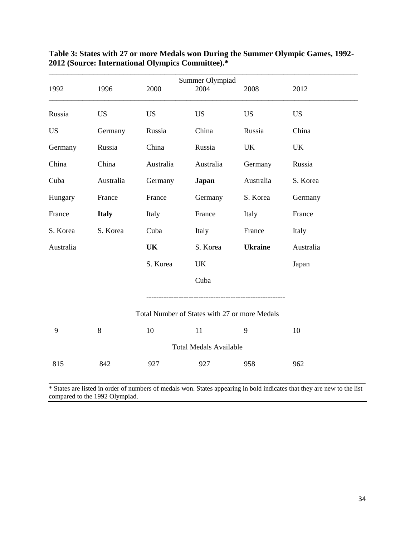| 1992      | 1996         | 2000      | Summer Olympiad<br>2004                       | 2008           | 2012      |
|-----------|--------------|-----------|-----------------------------------------------|----------------|-----------|
| Russia    | <b>US</b>    | <b>US</b> | <b>US</b>                                     | <b>US</b>      | <b>US</b> |
| <b>US</b> | Germany      | Russia    | China                                         | Russia         | China     |
| Germany   | Russia       | China     | Russia                                        | <b>UK</b>      | <b>UK</b> |
| China     | China        | Australia | Australia                                     | Germany        | Russia    |
| Cuba      | Australia    | Germany   | Japan                                         | Australia      | S. Korea  |
| Hungary   | France       | France    | Germany                                       | S. Korea       | Germany   |
| France    | <b>Italy</b> | Italy     | France                                        | Italy          | France    |
| S. Korea  | S. Korea     | Cuba      | Italy                                         | France         | Italy     |
| Australia |              | <b>UK</b> | S. Korea                                      | <b>Ukraine</b> | Australia |
|           |              | S. Korea  | <b>UK</b>                                     |                | Japan     |
|           |              |           | Cuba                                          |                |           |
|           |              |           | Total Number of States with 27 or more Medals |                |           |
| 9         | 8            | 10        | 11                                            | 9              | 10        |
|           |              |           | <b>Total Medals Available</b>                 |                |           |
| 815       | 842          | 927       | 927                                           | 958            | 962       |

## **Table 3: States with 27 or more Medals won During the Summer Olympic Games, 1992- 2012 (Source: International Olympics Committee).\***

\_\_\_\_\_\_\_\_\_\_\_\_\_\_\_\_\_\_\_\_\_\_\_\_\_\_\_\_\_\_\_\_\_\_\_\_\_\_\_\_\_\_\_\_\_\_\_\_\_\_\_\_\_\_\_\_\_\_\_\_\_\_\_\_\_\_\_\_\_\_\_\_\_\_\_\_\_\_\_\_\_\_\_\_\_ \* States are listed in order of numbers of medals won. States appearing in bold indicates that they are new to the list compared to the 1992 Olympiad.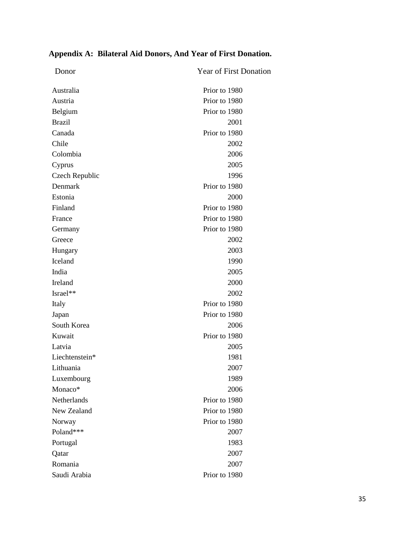| Donor          | <b>Year of First Donation</b> |
|----------------|-------------------------------|
| Australia      | Prior to 1980                 |
| Austria        | Prior to 1980                 |
| Belgium        | Prior to 1980                 |
| <b>Brazil</b>  | 2001                          |
| Canada         | Prior to 1980                 |
| Chile          | 2002                          |
| Colombia       | 2006                          |
| Cyprus         | 2005                          |
| Czech Republic | 1996                          |
| Denmark        | Prior to 1980                 |
| Estonia        | 2000                          |
| Finland        | Prior to 1980                 |
| France         | Prior to 1980                 |
| Germany        | Prior to 1980                 |
| Greece         | 2002                          |
| Hungary        | 2003                          |
| Iceland        | 1990                          |
| India          | 2005                          |
| Ireland        | 2000                          |
| Israel**       | 2002                          |
| Italy          | Prior to 1980                 |
| Japan          | Prior to 1980                 |
| South Korea    | 2006                          |
| Kuwait         | Prior to 1980                 |
| Latvia         | 2005                          |
| Liechtenstein* | 1981                          |
| Lithuania      | 2007                          |
| Luxembourg     | 1989                          |
| Monaco*        | 2006                          |
| Netherlands    | Prior to 1980                 |
| New Zealand    | Prior to 1980                 |
| Norway         | Prior to 1980                 |
| Poland***      | 2007                          |
| Portugal       | 1983                          |
| Qatar          | 2007                          |
| Romania        | 2007                          |
| Saudi Arabia   | Prior to 1980                 |

# **Appendix A: Bilateral Aid Donors, And Year of First Donation.**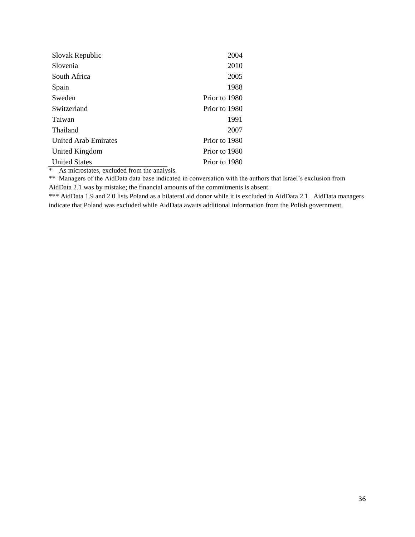| Slovak Republic             | 2004          |
|-----------------------------|---------------|
| Slovenia                    | 2010          |
| South Africa                | 2005          |
| Spain                       | 1988          |
| Sweden                      | Prior to 1980 |
| Switzerland                 | Prior to 1980 |
| Taiwan                      | 1991          |
| Thailand                    | 2007          |
| <b>United Arab Emirates</b> | Prior to 1980 |
| United Kingdom              | Prior to 1980 |
| <b>United States</b>        | Prior to 1980 |

\* As microstates, excluded from the analysis.

\*\* Managers of the AidData data base indicated in conversation with the authors that Israel's exclusion from AidData 2.1 was by mistake; the financial amounts of the commitments is absent.

\*\*\* AidData 1.9 and 2.0 lists Poland as a bilateral aid donor while it is excluded in AidData 2.1. AidData managers indicate that Poland was excluded while AidData awaits additional information from the Polish government.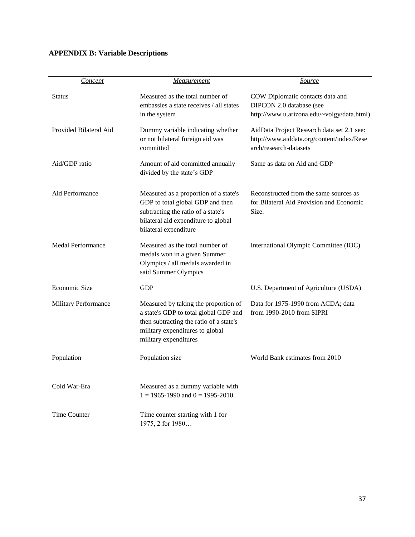# **APPENDIX B: Variable Descriptions**

| <b>Concept</b>              | Measurement                                                                                                                                                                          | <b>Source</b>                                                                                                     |
|-----------------------------|--------------------------------------------------------------------------------------------------------------------------------------------------------------------------------------|-------------------------------------------------------------------------------------------------------------------|
| <b>Status</b>               | Measured as the total number of<br>embassies a state receives / all states<br>in the system                                                                                          | COW Diplomatic contacts data and<br>DIPCON 2.0 database (see<br>http://www.u.arizona.edu/~volgy/data.html)        |
| Provided Bilateral Aid      | Dummy variable indicating whether<br>or not bilateral foreign aid was<br>committed                                                                                                   | AidData Project Research data set 2.1 see:<br>http://www.aiddata.org/content/index/Rese<br>arch/research-datasets |
| Aid/GDP ratio               | Amount of aid committed annually<br>divided by the state's GDP                                                                                                                       | Same as data on Aid and GDP                                                                                       |
| Aid Performance             | Measured as a proportion of a state's<br>GDP to total global GDP and then<br>subtracting the ratio of a state's<br>bilateral aid expenditure to global<br>bilateral expenditure      | Reconstructed from the same sources as<br>for Bilateral Aid Provision and Economic<br>Size.                       |
| <b>Medal Performance</b>    | Measured as the total number of<br>medals won in a given Summer<br>Olympics / all medals awarded in<br>said Summer Olympics                                                          | International Olympic Committee (IOC)                                                                             |
| Economic Size               | <b>GDP</b>                                                                                                                                                                           | U.S. Department of Agriculture (USDA)                                                                             |
| <b>Military Performance</b> | Measured by taking the proportion of<br>a state's GDP to total global GDP and<br>then subtracting the ratio of a state's<br>military expenditures to global<br>military expenditures | Data for 1975-1990 from ACDA; data<br>from 1990-2010 from SIPRI                                                   |
| Population                  | Population size                                                                                                                                                                      | World Bank estimates from 2010                                                                                    |
| Cold War-Era                | Measured as a dummy variable with<br>$1 = 1965 - 1990$ and $0 = 1995 - 2010$                                                                                                         |                                                                                                                   |
| Time Counter                | Time counter starting with 1 for<br>1975, 2 for 1980                                                                                                                                 |                                                                                                                   |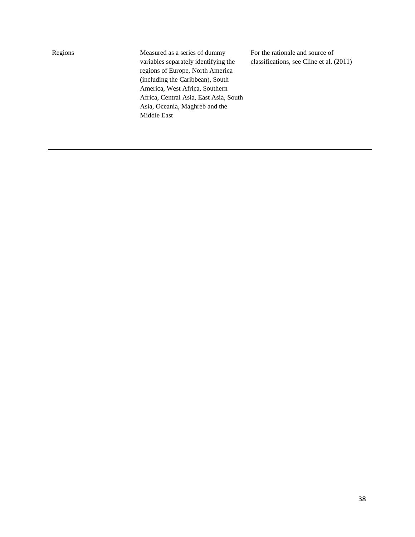Regions Measured as a series of dummy variables separately identifying the regions of Europe, North America (including the Caribbean), South America, West Africa, Southern Africa, Central Asia, East Asia, South Asia, Oceania, Maghreb and the Middle East

For the rationale and source of classifications, see Cline et al. (2011)